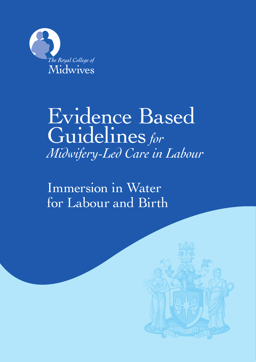

# Evidence Based Guidelines*for Midwifery-Led Care in Labour*

Immersion in Water for Labour and Birth

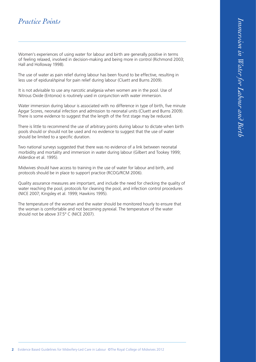# *Practice Points*

Women's experiences of using water for labour and birth are generally positive in terms of feeling relaxed, involved in decision-making and being more in control (Richmond 2003; Hall and Holloway 1998).

The use of water as pain relief during labour has been found to be effective, resulting in less use of epidural/spinal for pain relief during labour (Cluett and Burns 2009).

It is not advisable to use any narcotic analgesia when women are in the pool. Use of Nitrous Oxide (Entonox) is routinely used in conjunction with water immersion.

Water immersion during labour is associated with no difference in type of birth, five minute Apgar Scores, neonatal infection and admission to neonatal units (Cluett and Burns 2009). There is some evidence to suggest that the length of the first stage may be reduced.

There is little to recommend the use of arbitrary points during labour to dictate when birth pools should or should not be used and no evidence to suggest that the use of water should be limited to a specific duration.

Two national surveys suggested that there was no evidence of a link between neonatal morbidity and mortality and immersion in water during labour (Gilbert and Tookey 1999; Alderdice et al. 1995).

Midwives should have access to training in the use of water for labour and birth, and protocols should be in place to support practice (RCOG/RCM 2006).

Quality assurance measures are important, and include the need for checking the quality of water reaching the pool, protocols for cleaning the pool, and infection control procedures (NICE 2007; Kingsley et al. 1999; Hawkins 1995).

The temperature of the woman and the water should be monitored hourly to ensure that the woman is comfortable and not becoming pyrexial. The temperature of the water should not be above 37.5° C (NICE 2007).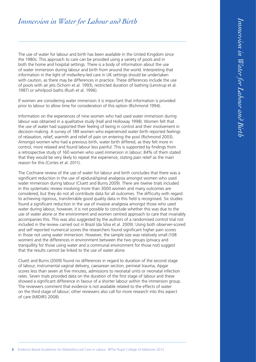The use of water for labour and birth has been available in the United Kingdom since the 1980s. This approach to care can be provided using a variety of pools and in both the home and hospital settings. There is a body of information about the use of water immersion during labour and birth from around the world. Interpreting that information in the light of midwifery-led care in UK settings should be undertaken with caution, as there may be differences in practice. These differences include the use of pools with air jets (Schorn et al. 1993), restricted duration of bathing (Lenstrup et al. 1987) or whirlpool baths (Rush et al. 1996).

If women are considering water immersion it is important that information is provided prior to labour to allow time for consideration of this option (Richmond 1994).

Information on the experiences of nine women who had used water immersion during labour was obtained in a qualitative study (Hall and Holloway 1998). Women felt that the use of water had supported their feeling of being in control and their involvement in decision-making. A survey of 189 women who experienced water birth reported feelings of relaxation, relief, warmth and relief of pain on entering the pool (Richmond 2003). Amongst women who had a previous birth, water birth differed, as they felt more in control, more relaxed and found labour less painful. This is supported by findings from a retrospective study of 160 women who used immersion in labour; 84% of them stated that they would be very likely to repeat the experience, stating pain relief as the main reason for this (Cortes et al. 2011).

The Cochrane review of the use of water for labour and birth concludes that there was a significant reduction in the use of epidural/spinal analgesia amongst women who used water immersion during labour (Cluett and Burns 2009). There are twelve trials included in this systematic review involving more than 3000 women and many outcomes are considered, but they do not all contribute data for all outcomes. The difficulty with regard to achieving rigorous, transferrable good quality data in this field is recognised. Six studies found a significant reduction in the use of invasive analgesia amongst those who used water during labour, however, it is not possible to conclude whether this was due to the use of water alone or the environment and women centred approach to care that invariably accompanies this. This was also suggested by the authors of a randomised control trial not included in the review carried out in Brazil (da Silva et al. 2009). Using both observer-scored and self reported numerical scores the researchers found significant higher pain scores in those not using water immersion. However, the sample size was relatively small (108 women) and the differences in environment between the two groups (privacy and tranquillity for those using water and a communal environment for those not) suggest that the results cannot be linked to the use of water alone.

Cluett and Burns (2009) found no differences in regard to duration of the second stage of labour, instrumental vaginal delivery, caesarean section, perineal trauma, Apgar scores less than seven at five minutes, admissions to neonatal units or neonatal infection rates. Seven trials provided data on the duration of the first stage of labour and these showed a significant difference in favour of a shorter labour within the immersion group. The reviewers comment that evidence is not available related to the effects of water on the third stage of labour; other reviewers also call for more research into this aspect of care (MIDIRS 2008).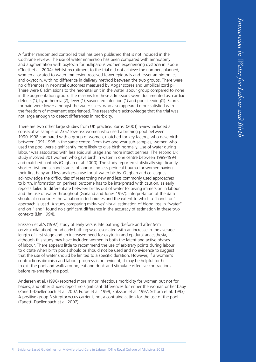A further randomised controlled trial has been published that is not included in the Cochrane review. The use of water immersion has been compared with amniotomy and augmentation with oxytocin for nulliparous women experiencing dystocia in labour (Cluett et al. 2004). Whilst recruitment to the trial did not achieve the numbers planned, women allocated to water immersion received fewer epidurals and fewer amniotomies and oxytocin, with no difference in delivery method between the two groups. There were no differences in neonatal outcomes measured by Apgar scores and umbilical cord pH. There were 6 admissions to the neonatal unit in the water labour group compared to none in the augmentation group. The reasons for these admissions were documented as: cardiac defects (1), hypothermia (2), fever (1), suspected infection (1) and poor feeding(1). Scores for pain were lower amongst the water users, who also appeared more satisfied with the freedom of movement experienced. The researchers acknowledge that the trial was not large enough to detect differences in morbidity.

There are two other large studies from UK practice. Burns' (2001) review included a consecutive sample of 2357 low-risk women who used a birthing pool between 1990-1998 compared with a group of women, matched for key factors, who gave birth between 1991-1998 in the same centre. From two one-year sub-samples, women who used the pool were significantly more likely to give birth normally. Use of water during labour was associated with less epidural usage and more intact perinea. The second UK study involved 301 women who gave birth in water in one centre between 1989-1994 and matched controls (Otigbah et al. 2000). The study reported statistically significantly shorter first and second stages of labour and less perineal trauma for women having their first baby and less analgesia use for all water births. Otigbah and colleagues acknowledge the difficulties of researching new and less commonly used approaches to birth. Information on perineal outcome has to be interpreted with caution, as early reports failed to differentiate between births out of water following immersion in labour and the use of water throughout (Garland and Jones 1997). Interpretation of the data should also consider the variation in techniques and the extent to which a "hands-on" approach is used. A study comparing midwives' visual estimation of blood loss in "water" and on "land" found no significant difference in the accuracy of estimation in these two contexts (Lim 1994).

Eriksson et al.'s (1997) study of early versus late bathing (before and after 5cm cervical dilatation) found early bathing was associated with an increase in the average length of first stage and an increased need for oxytocin and epidural anaesthesia, although this study may have included women in both the latent and active phases of labour. There appears little to recommend the use of arbitrary points during labour to dictate when birth pools should or should not be used and no evidence to suggest that the use of water should be limited to a specific duration. However, if a woman's contractions diminish and labour progress is not evident, it may be helpful for her to exit the pool and walk around, eat and drink and stimulate effective contractions before re-entering the pool.

Andersen et al. (1996) reported more minor infectious morbidity for women but not for babies, and other studies report no significant differences for either the woman or her baby (Zanetti-Daellenbach et al. 2007, Forde et al. 1999; Eriksson et al. 1997; Schorn et al. 1993). A positive group B streptococcus carrier is not a contraindication for the use of the pool (Zanetti-Daellenbach et al. 2007).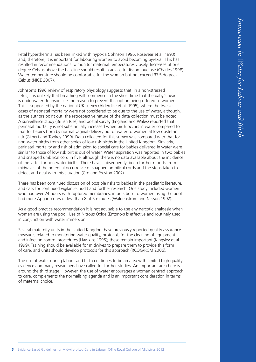Fetal hyperthermia has been linked with hypoxia (Johnson 1996, Rosevear et al. 1993) and, therefore, it is important for labouring women to avoid becoming pyrexial. This has resulted in recommendations to monitor maternal temperatures closely. Increases of one degree Celsius above the baseline should result in advice to discontinue use (Charles 1998). Water temperature should be comfortable for the woman but not exceed 37.5 degrees Celsius (NICE 2007).

Johnson's 1996 review of respiratory physiology suggests that, in a non-stressed fetus, it is unlikely that breathing will commence in the short time that the baby's head is underwater. Johnson sees no reason to prevent this option being offered to women. This is supported by the national UK survey (Alderdice et al. 1995), where the twelve cases of neonatal mortality were not considered to be due to the use of water, although, as the authors point out, the retrospective nature of the data collection must be noted. A surveillance study (British Isles) and postal survey (England and Wales) reported that perinatal mortality is not substantially increased when birth occurs in water compared to that for babies born by normal vaginal delivery out of water to women at low obstetric risk (Gilbert and Tookey 1999). Data collected for this survey was compared with that for non-water births from other series of low risk births in the United Kingdom. Similarly, perinatal mortality and risk of admission to special care for babies delivered in water were similar to those of low risk births out of water. Water aspiration was reported in two babies and snapped umbilical cord in five, although there is no data available about the incidence of the latter for non-water births. There have, subsequently, been further reports from midwives of the potential occurrence of snapped umbilical cords and the steps taken to detect and deal with this situation (Cro and Preston 2002).

There has been continued discussion of possible risks to babies in the paediatric literature, and calls for continued vigilance, audit and further research. One study included women who had over 24 hours with ruptured membranes: infants born to women using the pool had more Apgar scores of less than 8 at 5 minutes (Waldenstrom and Nilsson 1992).

As a good practice recommendation it is not advisable to use any narcotic analgesia when women are using the pool. Use of Nitrous Oxide (Entonox) is effective and routinely used in conjunction with water immersion.

Several maternity units in the United Kingdom have previously reported quality assurance measures related to monitoring water quality, protocols for the cleaning of equipment and infection control procedures (Hawkins 1995); these remain important (Kingsley et al. 1999). Training should be available for midwives to prepare them to provide this form of care, and units should develop protocols for this approach (RCOG/RCM 2006).

The use of water during labour and birth continues to be an area with limited high quality evidence and many researchers have called for further studies. An important area here is around the third stage. However, the use of water encourages a woman centred approach to care, complements the normalising agenda and is an important consideration in terms of maternal choice.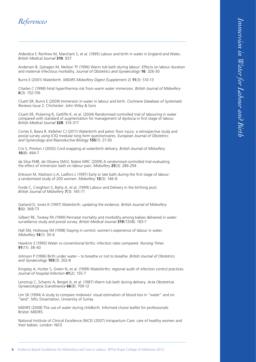# *Immersion in Water for Labour and Birth* Immersion in Water for Labour and Birtr

### *References*

Alderdice F, Renfrew M, Marchant S, et al. (1995) Labour and birth in water in England and Wales. *British Medical Journal* **310**: 837

Andersen B, Gyhagen M, Neilson TF (1996) Warm tub bath during labour: Effects on labour duration and maternal infectious morbidity. *Journal of Obstetrics and Gynaecology* **16**: 326-30

Burns E (2001) Waterbirth. *MIDIRS Midwifery Digest* (Supplement 2) **11**(3): S10-13

Charles C (1998) Fetal hyperthermia risk from warm water immersion. *British Journal of Midwifery*  **6**(3): 152-156

Cluett ER, Burns E (2009) Immersion in water in labour and birth. *Cochrane Database of Systematic Reviews* Issue 2. Chichester: John Wiley & Sons

Cluett ER, Pickering R, Getliffe K, et al. (2004) Randomised controlled trial of labouring in water compared with standard of augmentation for management of dystocia in first stage of labour. *British Medical Journal* **328**: 314-317

Cortes E, Basra R, Kelleher CJ (2011) Waterbirth and pelvic floor injury: a retrospective study and postal survey using ICIQ modular long form questionnaires. *European Journal of Obstetrics and Gynecology and Reproductive Biology* **155**(1): 27-30

Cro S, Preston J (2002) Cord snapping at waterbirth delivery. *British Journal of Midwifery*  **10**(8): 494-7

da Silva FMB, de Oliveira SMJV, Nobre MRC (2009) A randomised controlled trial evaluating the effect of immersion bath on labour pain. *Midwifery* **25**(3): 286-294

Eriksson M, Mattson L-A, Ladfors L (1997) Early or late bath during the first stage of labour: a randomised study of 200 women. *Midwifery* **13**(3): 146-8

Forde C, Creighton S, Batty A, et al. (1999) Labour and Delivery in the birthing pool. *British Journal of Midwifery* **7**(3): 165-71

Garland D, Jones K (1997) Waterbirth: updating the evidence. *British Journal of Midwifery*  **5**(6): 368-73

Gilbert RE, Tookey PA (1999) Perinatal mortality and morbidity among babies delivered in water: surveillance study and postal survey. *British Medical Journal* **319**(7208): 183-7

Hall SM, Holloway IM (1998) Staying in control: women's experience of labour in water. *Midwifery* **14**(1): 30-6

Hawkins S (1995) Water vs conventional births: infection rates compared. *Nursing Times* **91**(11): 38-40

Johnson P (1996) Birth under water – to breathe or not to breathe. *British Journal of Obstetrics and Gynaecology* **103**(3): 202-8

Kingsley A, Hutter S, Green N, et al. (1999) Waterbirths: regional audit of infection control practices. *Journal of Hospital Infection* **41**(2): 155-7

Lenstrup C, Schantz A, Berget A, et al. (1987) Warm tub bath during delivery. *Acta Obstetricia Gynaecologicia Scandinavica* **66**(8): 709-12

Lim SK (1994) A study to compare midwives' visual estimation of blood loss in "water" and on "land". MSc Dissertation, University of Surrey

MIDIRS (2008) The use of water during childbirth. Informed choice leaflet for professionals. Bristol: MIDIRS

National Institute of Clinical Excellence (NICE) (2007) Intrapartum Care: care of healthy women and their babies. London: NICE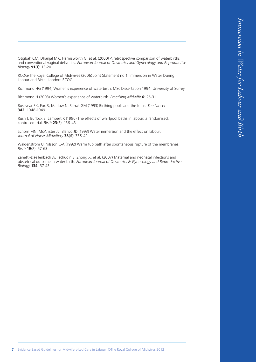Otigbah CM, Dhanjal MK, Harmsworth G, et al. (2000) A retrospective comparison of waterbirths and conventional vaginal deliveries. *European Journal of Obstetrics and Gynecology and Reproductive Biology* **91**(1): 15-20

RCOG/The Royal College of Midwives (2006) Joint Statement no 1: Immersion in Water During Labour and Birth. London: RCOG

Richmond HG (1994) Women's experience of waterbirth. MSc Dissertation 1994, University of Surrey

Richmond H (2003) Women's experience of waterbirth. *Practising Midwife* **6**: 26-31

Rosevear SK, Fox R, Marlow N, Stirrat GM (1993) Birthing pools and the fetus. *The Lancet* **342**: 1048-1049

Rush J, Burlock S, Lambert K (1996) The effects of whirlpool baths in labour: a randomised, controlled trial. *Birth* **23**(3): 136-43

Schorn MN, McAllister JL, Blanco JD (1993) Water immersion and the effect on labour. *Journal of Nurse-Midwifery* **38**(6): 336-42

Waldenstrom U, Nilsson C-A (1992) Warm tub bath after spontaneous rupture of the membranes. *Birth* **19**(2): 57-63

Zanetti-Daellenbach A, Tschudin S, Zhong X, et al. (2007) Maternal and neonatal infections and obstetrical outcome in water birth. *European Journal of Obstetrics & Gynecology and Reproductive Biology* **134**: 37-43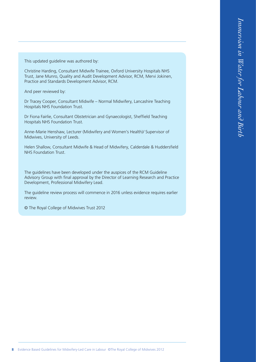This updated guideline was authored by:

Christine Harding, Consultant Midwife Trainee, Oxford University Hospitals NHS Trust, Jane Munro, Quality and Audit Development Advisor, RCM, Mervi Jokinen, Practice and Standards Development Advisor, RCM.

And peer reviewed by:

Dr Tracey Cooper, Consultant Midwife – Normal Midwifery, Lancashire Teaching Hospitals NHS Foundation Trust.

Dr Fiona Fairlie, Consultant Obstetrician and Gynaecologist, Sheffield Teaching Hospitals NHS Foundation Trust.

Anne-Marie Henshaw, Lecturer (Midwifery and Women's Health)/ Supervisor of Midwives, University of Leeds.

Helen Shallow, Consultant Midwife & Head of Midwifery, Calderdale & Huddersfield NHS Foundation Trust.

The guidelines have been developed under the auspices of the RCM Guideline Advisory Group with final approval by the Director of Learning Research and Practice Development, Professional Midwifery Lead.

The guideline review process will commence in 2016 unless evidence requires earlier review.

© The Royal College of Midwives Trust 2012